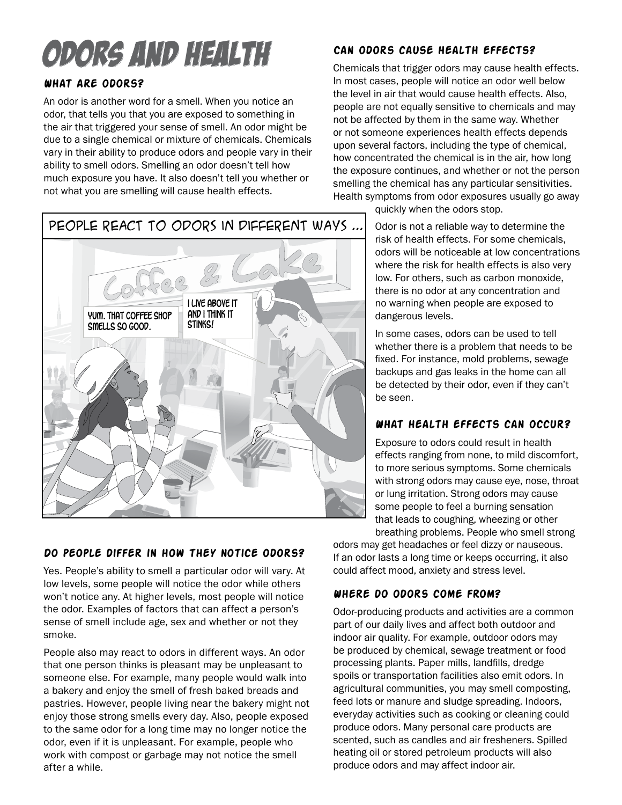# Odors and Health

# **What are odors?**

An odor is another word for a smell. When you notice an odor, that tells you that you are exposed to something in the air that triggered your sense of smell. An odor might be due to a single chemical or mixture of chemicals. Chemicals vary in their ability to produce odors and people vary in their ability to smell odors. Smelling an odor doesn't tell how much exposure you have. It also doesn't tell you whether or not what you are smelling will cause health effects.

# **Can odors cause health effects?**

Chemicals that trigger odors may cause health effects. In most cases, people will notice an odor well below the level in air that would cause health effects. Also, people are not equally sensitive to chemicals and may not be affected by them in the same way. Whether or not someone experiences health effects depends upon several factors, including the type of chemical, how concentrated the chemical is in the air, how long the exposure continues, and whether or not the person smelling the chemical has any particular sensitivities. Health symptoms from odor exposures usually go away

quickly when the odors stop.

risk of health effects. For some chemicals, odors will be noticeable at low concentrations where the risk for health effects is also very low. For others, such as carbon monoxide, there is no odor at any concentration and no warning when people are exposed to dangerous levels.

In some cases, odors can be used to tell whether there is a problem that needs to be fixed. For instance, mold problems, sewage backups and gas leaks in the home can all be detected by their odor, even if they can't be seen.

# **What health effects can occur?**

Exposure to odors could result in health effects ranging from none, to mild discomfort, to more serious symptoms. Some chemicals with strong odors may cause eye, nose, throat or lung irritation. Strong odors may cause some people to feel a burning sensation that leads to coughing, wheezing or other breathing problems. People who smell strong

odors may get headaches or feel dizzy or nauseous. If an odor lasts a long time or keeps occurring, it also could affect mood, anxiety and stress level.

# **Where do odors come from?**

Odor-producing products and activities are a common part of our daily lives and affect both outdoor and indoor air quality. For example, outdoor odors may be produced by chemical, sewage treatment or food processing plants. Paper mills, landfills, dredge spoils or transportation facilities also emit odors. In agricultural communities, you may smell composting, feed lots or manure and sludge spreading. Indoors, everyday activities such as cooking or cleaning could produce odors. Many personal care products are scented, such as candles and air fresheners. Spilled heating oil or stored petroleum products will also produce odors and may affect indoor air.



#### **Do people differ in how they notice odors?**

Yes. People's ability to smell a particular odor will vary. At low levels, some people will notice the odor while others won't notice any. At higher levels, most people will notice the odor. Examples of factors that can affect a person's sense of smell include age, sex and whether or not they smoke.

People also may react to odors in different ways. An odor that one person thinks is pleasant may be unpleasant to someone else. For example, many people would walk into a bakery and enjoy the smell of fresh baked breads and pastries. However, people living near the bakery might not enjoy those strong smells every day. Also, people exposed to the same odor for a long time may no longer notice the odor, even if it is unpleasant. For example, people who work with compost or garbage may not notice the smell after a while.